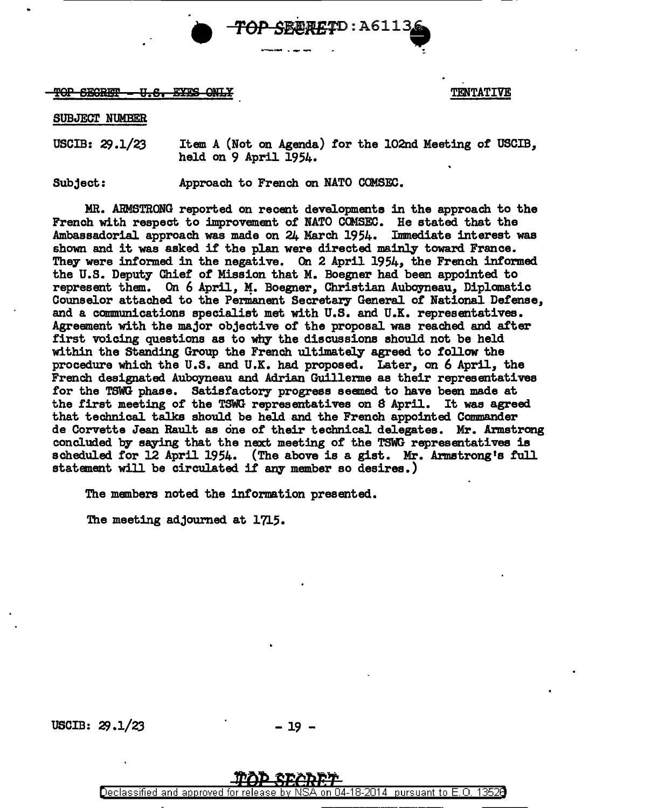

## $\overline{10P}$  becree  $-0.6$ . Exes only.

## SUBJECT NUMBER

USCIB:  $29.1/23$  Item A (Not on Agenda) for the 102nd Meeting of USCIB, held on 9 April 1954.

Subject: Approach to French on NATO COMSEC.

MR. ARMSTRONG reported on recent developments in the approach to the French with respect to improvement of NATO COMSEC. He stated that the Ambassadorial approach was made on 24 March 1954. Immediate interest was shown and it was asked if the plan were directed mainly toward France. They were informed in the negative. On 2 April 1954, the French informed the U.S. Deputy Chief of Mission that M. Boegner had been appointed to represent them. On 6 April, M. Boegner, Christian Auboyneau, Diplomatic Counselor attached. to the Permanent Secretary General of National Defense, and a communications specialist met with U.S. and U.K. representatives. Agreement with the major objective of the proposal was reached and after first voicing questions as to why the discussions should not be held within the Standing Group the French ultimately agreed to follow the procedure which the U.S. and U.K. had proposed. Later, on 6 April, the French designated. Auboyneau and Adrian Guillerme as their representatives for the TSWG phase. Satisfactory progress seemed to have been made at the first meeting of the TSWG representatives on 8 April. It was agreed that technical talks should be held and the French appointed Commander de Corvette Jean Rault as one of their technical delegates. Mr. Armstrong concluded by saying that the next meeting of the TSWG representatives is scheduled for 12 April 1954. (The above is a gist. Mr. Armstrong's full statement will be circulated if any member so desires.)

The members noted the information presented.

The meeting adjourned at 1715.

USCIB:  $29.1/23$  - 19 -